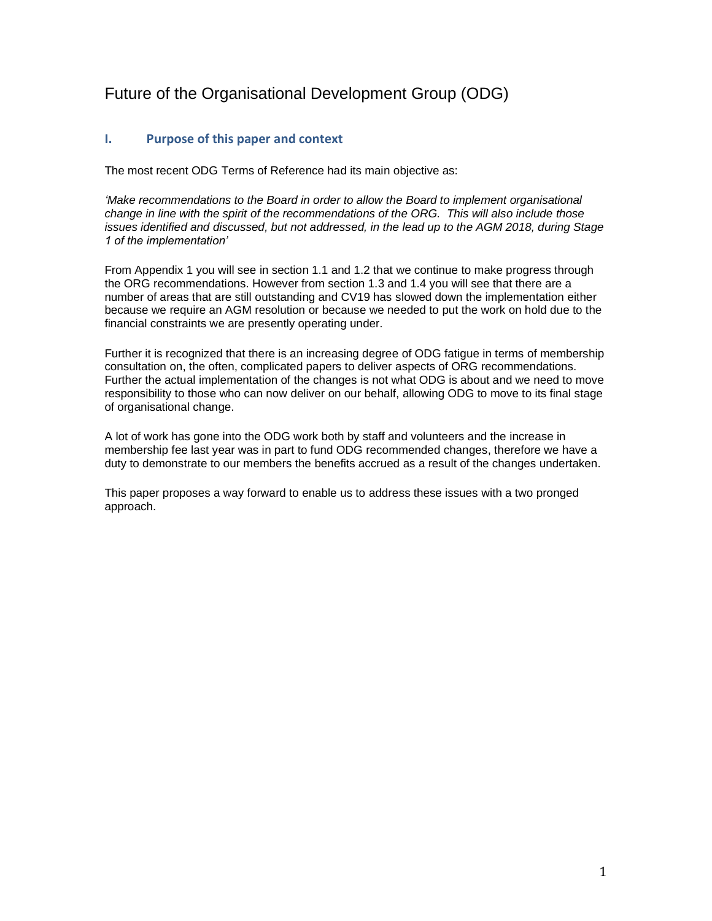# Future of the Organisational Development Group (ODG)

# **I. Purpose of this paper and context**

The most recent ODG Terms of Reference had its main objective as:

*'Make recommendations to the Board in order to allow the Board to implement organisational change in line with the spirit of the recommendations of the ORG. This will also include those issues identified and discussed, but not addressed, in the lead up to the AGM 2018, during Stage 1 of the implementation'*

From Appendix 1 you will see in section 1.1 and 1.2 that we continue to make progress through the ORG recommendations. However from section 1.3 and 1.4 you will see that there are a number of areas that are still outstanding and CV19 has slowed down the implementation either because we require an AGM resolution or because we needed to put the work on hold due to the financial constraints we are presently operating under.

Further it is recognized that there is an increasing degree of ODG fatigue in terms of membership consultation on, the often, complicated papers to deliver aspects of ORG recommendations. Further the actual implementation of the changes is not what ODG is about and we need to move responsibility to those who can now deliver on our behalf, allowing ODG to move to its final stage of organisational change.

A lot of work has gone into the ODG work both by staff and volunteers and the increase in membership fee last year was in part to fund ODG recommended changes, therefore we have a duty to demonstrate to our members the benefits accrued as a result of the changes undertaken.

This paper proposes a way forward to enable us to address these issues with a two pronged approach.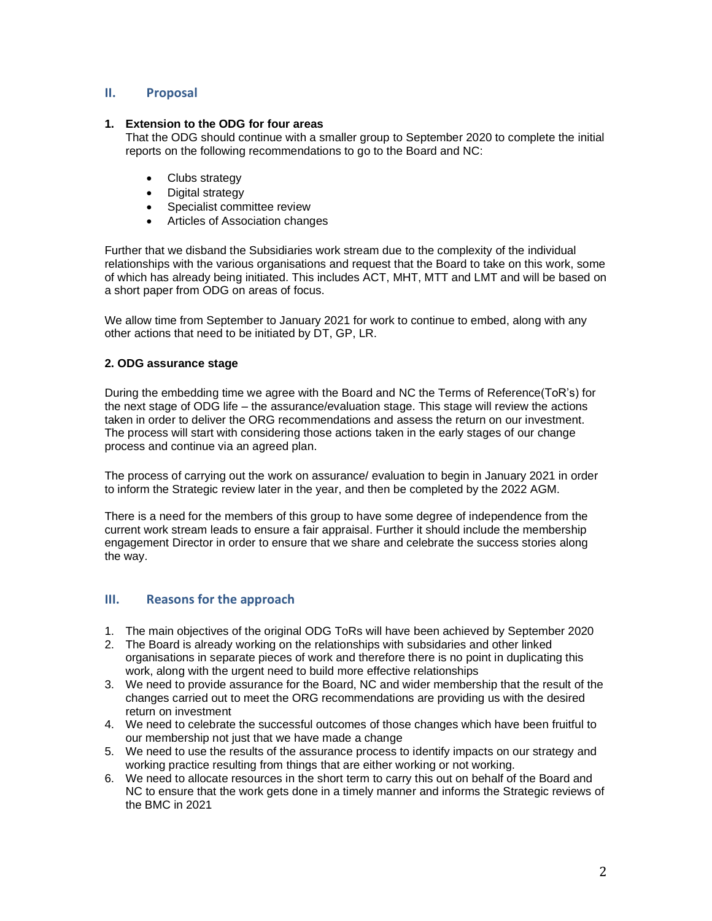### **II. Proposal**

#### **1. Extension to the ODG for four areas**

That the ODG should continue with a smaller group to September 2020 to complete the initial reports on the following recommendations to go to the Board and NC:

- Clubs strategy
- Digital strategy
- Specialist committee review
- Articles of Association changes

Further that we disband the Subsidiaries work stream due to the complexity of the individual relationships with the various organisations and request that the Board to take on this work, some of which has already being initiated. This includes ACT, MHT, MTT and LMT and will be based on a short paper from ODG on areas of focus.

We allow time from September to January 2021 for work to continue to embed, along with any other actions that need to be initiated by DT, GP, LR.

#### **2. ODG assurance stage**

During the embedding time we agree with the Board and NC the Terms of Reference(ToR's) for the next stage of ODG life – the assurance/evaluation stage. This stage will review the actions taken in order to deliver the ORG recommendations and assess the return on our investment. The process will start with considering those actions taken in the early stages of our change process and continue via an agreed plan.

The process of carrying out the work on assurance/ evaluation to begin in January 2021 in order to inform the Strategic review later in the year, and then be completed by the 2022 AGM.

There is a need for the members of this group to have some degree of independence from the current work stream leads to ensure a fair appraisal. Further it should include the membership engagement Director in order to ensure that we share and celebrate the success stories along the way.

#### **III. Reasons for the approach**

- 1. The main objectives of the original ODG ToRs will have been achieved by September 2020
- 2. The Board is already working on the relationships with subsidaries and other linked organisations in separate pieces of work and therefore there is no point in duplicating this work, along with the urgent need to build more effective relationships
- 3. We need to provide assurance for the Board, NC and wider membership that the result of the changes carried out to meet the ORG recommendations are providing us with the desired return on investment
- 4. We need to celebrate the successful outcomes of those changes which have been fruitful to our membership not just that we have made a change
- 5. We need to use the results of the assurance process to identify impacts on our strategy and working practice resulting from things that are either working or not working.
- 6. We need to allocate resources in the short term to carry this out on behalf of the Board and NC to ensure that the work gets done in a timely manner and informs the Strategic reviews of the BMC in 2021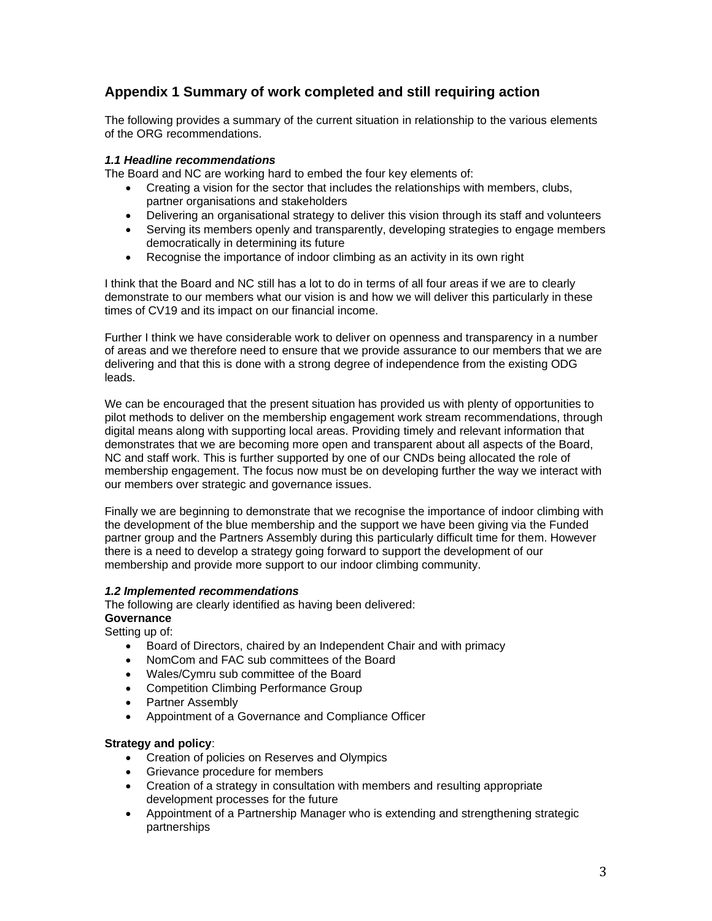# **Appendix 1 Summary of work completed and still requiring action**

The following provides a summary of the current situation in relationship to the various elements of the ORG recommendations.

#### *1.1 Headline recommendations*

The Board and NC are working hard to embed the four key elements of:

- Creating a vision for the sector that includes the relationships with members, clubs, partner organisations and stakeholders
- Delivering an organisational strategy to deliver this vision through its staff and volunteers
- Serving its members openly and transparently, developing strategies to engage members democratically in determining its future
- Recognise the importance of indoor climbing as an activity in its own right

I think that the Board and NC still has a lot to do in terms of all four areas if we are to clearly demonstrate to our members what our vision is and how we will deliver this particularly in these times of CV19 and its impact on our financial income.

Further I think we have considerable work to deliver on openness and transparency in a number of areas and we therefore need to ensure that we provide assurance to our members that we are delivering and that this is done with a strong degree of independence from the existing ODG leads.

We can be encouraged that the present situation has provided us with plenty of opportunities to pilot methods to deliver on the membership engagement work stream recommendations, through digital means along with supporting local areas. Providing timely and relevant information that demonstrates that we are becoming more open and transparent about all aspects of the Board, NC and staff work. This is further supported by one of our CNDs being allocated the role of membership engagement. The focus now must be on developing further the way we interact with our members over strategic and governance issues.

Finally we are beginning to demonstrate that we recognise the importance of indoor climbing with the development of the blue membership and the support we have been giving via the Funded partner group and the Partners Assembly during this particularly difficult time for them. However there is a need to develop a strategy going forward to support the development of our membership and provide more support to our indoor climbing community.

#### *1.2 Implemented recommendations*

The following are clearly identified as having been delivered:

#### **Governance**

Setting up of:

- Board of Directors, chaired by an Independent Chair and with primacy
- NomCom and FAC sub committees of the Board
- Wales/Cymru sub committee of the Board
- Competition Climbing Performance Group
- Partner Assembly
- Appointment of a Governance and Compliance Officer

#### **Strategy and policy**:

- Creation of policies on Reserves and Olympics
- Grievance procedure for members
- Creation of a strategy in consultation with members and resulting appropriate development processes for the future
- Appointment of a Partnership Manager who is extending and strengthening strategic partnerships